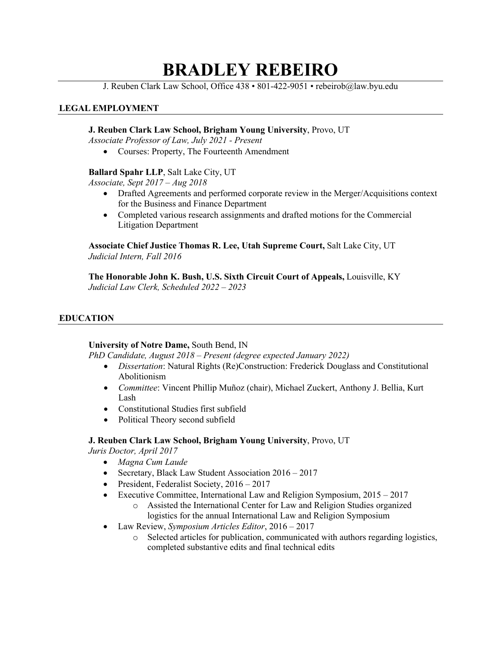# **BRADLEY REBEIRO**

J. Reuben Clark Law School, Office 438 • 801-422-9051 • rebeirob@law.byu.edu

# **LEGAL EMPLOYMENT**

## **J. Reuben Clark Law School, Brigham Young University**, Provo, UT

*Associate Professor of Law, July 2021 - Present* 

• Courses: Property, The Fourteenth Amendment

## **Ballard Spahr LLP**, Salt Lake City, UT

*Associate, Sept 2017 – Aug 2018*

- Drafted Agreements and performed corporate review in the Merger/Acquisitions context for the Business and Finance Department
- Completed various research assignments and drafted motions for the Commercial Litigation Department

**Associate Chief Justice Thomas R. Lee, Utah Supreme Court,** Salt Lake City, UT *Judicial Intern, Fall 2016*

**The Honorable John K. Bush, U.S. Sixth Circuit Court of Appeals,** Louisville, KY *Judicial Law Clerk, Scheduled 2022 – 2023*

## **EDUCATION**

#### **University of Notre Dame,** South Bend, IN

*PhD Candidate, August 2018 – Present (degree expected January 2022)*

- *Dissertation*: Natural Rights (Re)Construction: Frederick Douglass and Constitutional Abolitionism
- *Committee*: Vincent Phillip Muñoz (chair), Michael Zuckert, Anthony J. Bellia, Kurt Lash
- Constitutional Studies first subfield
- Political Theory second subfield

# **J. Reuben Clark Law School, Brigham Young University**, Provo, UT

*Juris Doctor, April 2017*

- *Magna Cum Laude*
- Secretary, Black Law Student Association  $2016 2017$
- President, Federalist Society, 2016 2017
- Executive Committee, International Law and Religion Symposium, 2015 2017
	- o Assisted the International Center for Law and Religion Studies organized logistics for the annual International Law and Religion Symposium
- Law Review, *Symposium Articles Editor*, 2016 2017
	- o Selected articles for publication, communicated with authors regarding logistics, completed substantive edits and final technical edits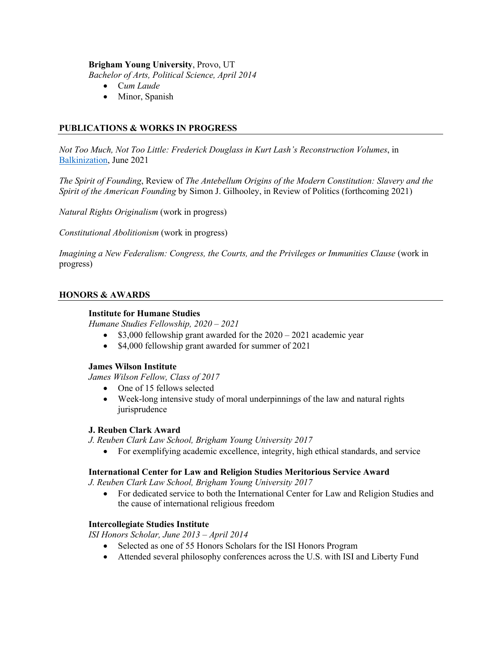## **Brigham Young University**, Provo, UT

*Bachelor of Arts, Political Science, April 2014*

- C*um Laude*
- Minor, Spanish

# **PUBLICATIONS & WORKS IN PROGRESS**

*Not Too Much, Not Too Little: Frederick Douglass in Kurt Lash's Reconstruction Volumes*, in Balkinization, June 2021

*The Spirit of Founding*, Review of *The Antebellum Origins of the Modern Constitution: Slavery and the Spirit of the American Founding* by Simon J. Gilhooley, in Review of Politics (forthcoming 2021)

*Natural Rights Originalism* (work in progress)

*Constitutional Abolitionism* (work in progress)

*Imagining a New Federalism: Congress, the Courts, and the Privileges or Immunities Clause* (work in progress)

## **HONORS & AWARDS**

#### **Institute for Humane Studies**

*Humane Studies Fellowship, 2020 – 2021*

- \$3,000 fellowship grant awarded for the  $2020 2021$  academic year
- \$4,000 fellowship grant awarded for summer of 2021

#### **James Wilson Institute**

*James Wilson Fellow, Class of 2017*

- One of 15 fellows selected
- Week-long intensive study of moral underpinnings of the law and natural rights jurisprudence

#### **J. Reuben Clark Award**

*J. Reuben Clark Law School, Brigham Young University 2017*

• For exemplifying academic excellence, integrity, high ethical standards, and service

### **International Center for Law and Religion Studies Meritorious Service Award**

*J. Reuben Clark Law School, Brigham Young University 2017*

• For dedicated service to both the International Center for Law and Religion Studies and the cause of international religious freedom

#### **Intercollegiate Studies Institute**

*ISI Honors Scholar, June 2013 – April 2014*

- Selected as one of 55 Honors Scholars for the ISI Honors Program
- Attended several philosophy conferences across the U.S. with ISI and Liberty Fund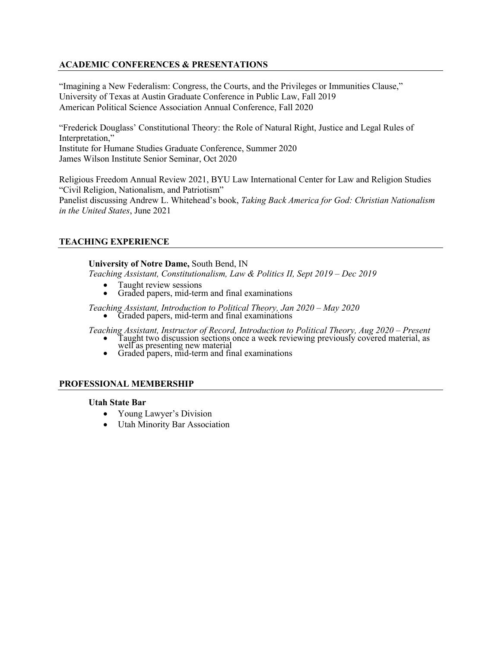# **ACADEMIC CONFERENCES & PRESENTATIONS**

"Imagining a New Federalism: Congress, the Courts, and the Privileges or Immunities Clause," University of Texas at Austin Graduate Conference in Public Law, Fall 2019 American Political Science Association Annual Conference, Fall 2020

"Frederick Douglass' Constitutional Theory: the Role of Natural Right, Justice and Legal Rules of Interpretation," Institute for Humane Studies Graduate Conference, Summer 2020 James Wilson Institute Senior Seminar, Oct 2020

Religious Freedom Annual Review 2021, BYU Law International Center for Law and Religion Studies "Civil Religion, Nationalism, and Patriotism" Panelist discussing Andrew L. Whitehead's book, *Taking Back America for God: Christian Nationalism in the United States*, June 2021

## **TEACHING EXPERIENCE**

#### **University of Notre Dame,** South Bend, IN

*Teaching Assistant, Constitutionalism, Law & Politics II, Sept 2019 – Dec 2019*

- 
- Taught review sessions Graded papers, mid-term and final examinations

*Teaching Assistant, Introduction to Political Theory, Jan 2020 – May 2020* • Graded papers, mid-term and final examinations

- Teaching Assistant, Instructor of Record, Introduction to Political Theory, Aug 2020 Present<br>
 Taught two discussion sections once a week reviewing previously covered material, as<br>
well as presenting new material<br>
 Gra
	-

## **PROFESSIONAL MEMBERSHIP**

#### **Utah State Bar**

- Young Lawyer's Division
- Utah Minority Bar Association